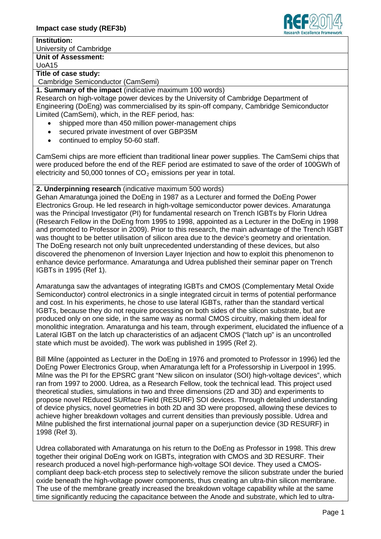#### **Institution:**

University of Cambridge

## **Unit of Assessment:**

UoA15

## **Title of case study:**

Cambridge Semiconductor (CamSemi)

### **1. Summary of the impact** (indicative maximum 100 words)

Research on high-voltage power devices by the University of Cambridge Department of Engineering (DoEng) was commercialised by its spin-off company, Cambridge Semiconductor Limited (CamSemi), which, in the REF period, has:

- shipped more than 450 million power-management chips
- secured private investment of over GBP35M
- continued to employ 50-60 staff.

CamSemi chips are more efficient than traditional linear power supplies. The CamSemi chips that were produced before the end of the REF period are estimated to save of the order of 100GWh of electricity and 50,000 tonnes of  $CO<sub>2</sub>$  emissions per year in total.

# **2. Underpinning research** (indicative maximum 500 words)

Gehan Amaratunga joined the DoEng in 1987 as a Lecturer and formed the DoEng Power Electronics Group. He led research in high-voltage semiconductor power devices. Amaratunga was the Principal Investigator (PI) for fundamental research on Trench IGBTs by Florin Udrea (Research Fellow in the DoEng from 1995 to 1998, appointed as a Lecturer in the DoEng in 1998 and promoted to Professor in 2009). Prior to this research, the main advantage of the Trench IGBT was thought to be better utilisation of silicon area due to the device's geometry and orientation. The DoEng research not only built unprecedented understanding of these devices, but also discovered the phenomenon of Inversion Layer Injection and how to exploit this phenomenon to enhance device performance. Amaratunga and Udrea published their seminar paper on Trench IGBTs in 1995 (Ref 1).

Amaratunga saw the advantages of integrating IGBTs and CMOS (Complementary Metal Oxide Semiconductor) control electronics in a single integrated circuit in terms of potential performance and cost. In his experiments, he chose to use lateral IGBTs, rather than the standard vertical IGBTs, because they do not require processing on both sides of the silicon substrate, but are produced only on one side, in the same way as normal CMOS circuitry, making them ideal for monolithic integration. Amaratunga and his team, through experiment, elucidated the influence of a Lateral IGBT on the latch up characteristics of an adjacent CMOS ("latch up" is an uncontrolled state which must be avoided). The work was published in 1995 (Ref 2).

Bill Milne (appointed as Lecturer in the DoEng in 1976 and promoted to Professor in 1996) led the DoEng Power Electronics Group, when Amaratunga left for a Professorship in Liverpool in 1995. Milne was the PI for the EPSRC grant "New silicon on insulator (SOI) high-voltage devices", which ran from 1997 to 2000. Udrea, as a Research Fellow, took the technical lead. This project used theoretical studies, simulations in two and three dimensions (2D and 3D) and experiments to propose novel REduced SURface Field (RESURF) SOI devices. Through detailed understanding of device physics, novel geometries in both 2D and 3D were proposed, allowing these devices to achieve higher breakdown voltages and current densities than previously possible. Udrea and Milne published the first international journal paper on a superjunction device (3D RESURF) in 1998 (Ref 3).

Udrea collaborated with Amaratunga on his return to the DoEng as Professor in 1998. This drew together their original DoEng work on IGBTs, integration with CMOS and 3D RESURF. Their research produced a novel high-performance high-voltage SOI device. They used a CMOScompliant deep back-etch process step to selectively remove the silicon substrate under the buried oxide beneath the high-voltage power components, thus creating an ultra-thin silicon membrane. The use of the membrane greatly increased the breakdown voltage capability while at the same time significantly reducing the capacitance between the Anode and substrate, which led to ultra-

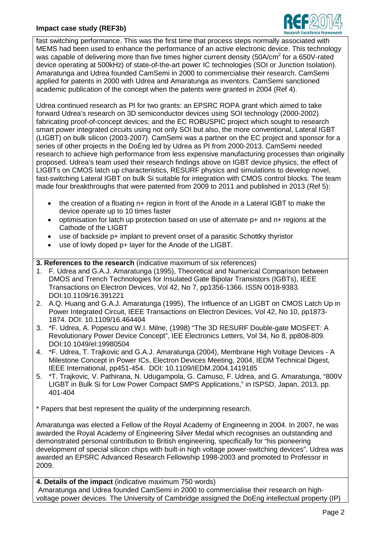

fast switching performance. This was the first time that process steps normally associated with MEMS had been used to enhance the performance of an active electronic device. This technology was capable of delivering more than five times higher current density (50A/cm<sup>2</sup> for a 650V-rated device operating at 500kHz) of state-of-the-art power IC technologies (SOI or Junction Isolation). Amaratunga and Udrea founded CamSemi in 2000 to commercialise their research. CamSemi applied for patents in 2000 with Udrea and Amaratunga as inventors. CamSemi sanctioned academic publication of the concept when the patents were granted in 2004 (Ref 4).

Udrea continued research as PI for two grants: an EPSRC ROPA grant which aimed to take forward Udrea's research on 3D semiconductor devices using SOI technology (2000-2002) fabricating proof-of-concept devices; and the EC ROBUSPIC project which sought to research smart power integrated circuits using not only SOI but also, the more conventional, Lateral IGBT (LIGBT) on bulk silicon (2003-2007). CamSemi was a partner on the EC project and sponsor for a series of other projects in the DoEng led by Udrea as PI from 2000-2013. CamSemi needed research to achieve high performance from less expensive manufacturing processes than originally proposed. Udrea's team used their research findings above on IGBT device physics, the effect of LIGBTs on CMOS latch up characteristics, RESURF physics and simulations to develop novel, fast-switching Lateral IGBT on bulk Si suitable for integration with CMOS control blocks. The team made four breakthroughs that were patented from 2009 to 2011 and published in 2013 (Ref 5):

- the creation of a floating n+ region in front of the Anode in a Lateral IGBT to make the device operate up to 10 times faster
- optimisation for latch up protection based on use of alternate p+ and n+ regions at the Cathode of the LIGBT
- use of backside p+ implant to prevent onset of a parasitic Schottky thyristor
- use of lowly doped p+ layer for the Anode of the LIGBT.

# **3. References to the research** (indicative maximum of six references)

- 1. F. Udrea and G.A.J. Amaratunga (1995), Theoretical and Numerical Comparison between DMOS and Trench Technologies for Insulated Gate Bipolar Transistors (IGBTs), IEEE Transactions on Electron Devices, Vol 42, No 7, pp1356-1366. ISSN 0018-9383. DOI:10.1109/16.391221
- 2. A.Q. Huang and G.A.J. Amaratunga (1995), The Influence of an LIGBT on CMOS Latch Up in Power Integrated Circuit, IEEE Transactions on Electron Devices, Vol 42, No 10, pp1873- 1874. DOI: 10.1109/16.464404
- 3. \*F. Udrea, A. Popescu and W.I. Milne, (1998) "The 3D RESURF Double-gate MOSFET: A Revolutionary Power Device Concept", IEE Electronics Letters, Vol 34, No 8, pp808-809. DOI:10.1049/el:19980504
- 4. \*F. Udrea, T. Trajkovic and G.A.J. Amaratunga (2004), Membrane High Voltage Devices A Milestone Concept in Power ICs, Electron Devices Meeting, 2004, IEDM Technical Digest, IEEE International, pp451-454. DOI: 10.1109/IEDM.2004.1419185
- 5. \*T. Trajkovic, V. Pathirana, N. Udugampola, G. Camuso, F. Udrea, and G. Amaratunga, "800V LIGBT in Bulk Si for Low Power Compact SMPS Applications," in ISPSD, Japan, 2013, pp. 401-404
- \* Papers that best represent the quality of the underpinning research.

Amaratunga was elected a Fellow of the Royal Academy of Engineering in 2004. In 2007, he was awarded the Royal Academy of Engineering Silver Medal which recognises an outstanding and demonstrated personal contribution to British engineering, specifically for "his pioneering development of special silicon chips with built-in high voltage power-switching devices". Udrea was awarded an EPSRC Advanced Research Fellowship 1998-2003 and promoted to Professor in 2009.

**4. Details of the impact** (indicative maximum 750 words) Amaratunga and Udrea founded CamSemi in 2000 to commercialise their research on highvoltage power devices. The University of Cambridge assigned the DoEng intellectual property (IP)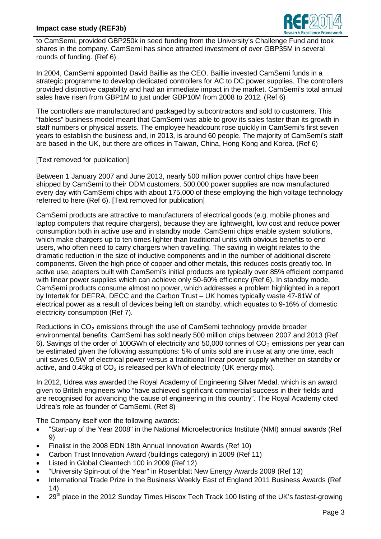

to CamSemi, provided GBP250k in seed funding from the University's Challenge Fund and took shares in the company. CamSemi has since attracted investment of over GBP35M in several rounds of funding. (Ref 6)

In 2004, CamSemi appointed David Baillie as the CEO. Baillie invested CamSemi funds in a strategic programme to develop dedicated controllers for AC to DC power supplies. The controllers provided distinctive capability and had an immediate impact in the market. CamSemi's total annual sales have risen from GBP1M to just under GBP10M from 2008 to 2012. (Ref 6)

The controllers are manufactured and packaged by subcontractors and sold to customers. This "fabless" business model meant that CamSemi was able to grow its sales faster than its growth in staff numbers or physical assets. The employee headcount rose quickly in CamSemi's first seven years to establish the business and, in 2013, is around 60 people. The majority of CamSemi's staff are based in the UK, but there are offices in Taiwan, China, Hong Kong and Korea. (Ref 6)

[Text removed for publication]

Between 1 January 2007 and June 2013, nearly 500 million power control chips have been shipped by CamSemi to their ODM customers. 500,000 power supplies are now manufactured every day with CamSemi chips with about 175,000 of these employing the high voltage technology referred to here (Ref 6). [Text removed for publication]

CamSemi products are attractive to manufacturers of electrical goods (e.g. mobile phones and laptop computers that require chargers), because they are lightweight, low cost and reduce power consumption both in active use and in standby mode. CamSemi chips enable system solutions, which make chargers up to ten times lighter than traditional units with obvious benefits to end users, who often need to carry chargers when travelling. The saving in weight relates to the dramatic reduction in the size of inductive components and in the number of additional discrete components. Given the high price of copper and other metals, this reduces costs greatly too. In active use, adapters built with CamSemi's initial products are typically over 85% efficient compared with linear power supplies which can achieve only 50-60% efficiency (Ref 6). In standby mode, CamSemi products consume almost no power, which addresses a problem highlighted in a report by Intertek for DEFRA, DECC and the Carbon Trust – UK homes typically waste 47-81W of electrical power as a result of devices being left on standby, which equates to 9-16% of domestic electricity consumption (Ref 7).

Reductions in  $CO<sub>2</sub>$  emissions through the use of CamSemi technology provide broader environmental benefits. CamSemi has sold nearly 500 million chips between 2007 and 2013 (Ref 6). Savings of the order of 100GWh of electricity and 50,000 tonnes of  $CO<sub>2</sub>$  emissions per year can be estimated given the following assumptions: 5% of units sold are in use at any one time, each unit saves 0.5W of electrical power versus a traditional linear power supply whether on standby or active, and 0.45kg of  $CO<sub>2</sub>$  is released per kWh of electricity (UK energy mix).

In 2012, Udrea was awarded the Royal Academy of Engineering Silver Medal, which is an award given to British engineers who "have achieved significant commercial success in their fields and are recognised for advancing the cause of engineering in this country". The Royal Academy cited Udrea's role as founder of CamSemi. (Ref 8)

The Company itself won the following awards:

- "Start-up of the Year 2008" in the National Microelectronics Institute (NMI) annual awards (Ref 9)
- Finalist in the 2008 EDN 18th Annual Innovation Awards (Ref 10)
- Carbon Trust Innovation Award (buildings category) in 2009 (Ref 11)
- Listed in Global Cleantech 100 in 2009 (Ref 12)
- "University Spin-out of the Year" in Rosenblatt New Energy Awards 2009 (Ref 13)
- International Trade Prize in the Business Weekly East of England 2011 Business Awards (Ref 14)
- 29<sup>th</sup> place in the 2012 Sunday Times Hiscox Tech Track 100 listing of the UK's fastest-growing